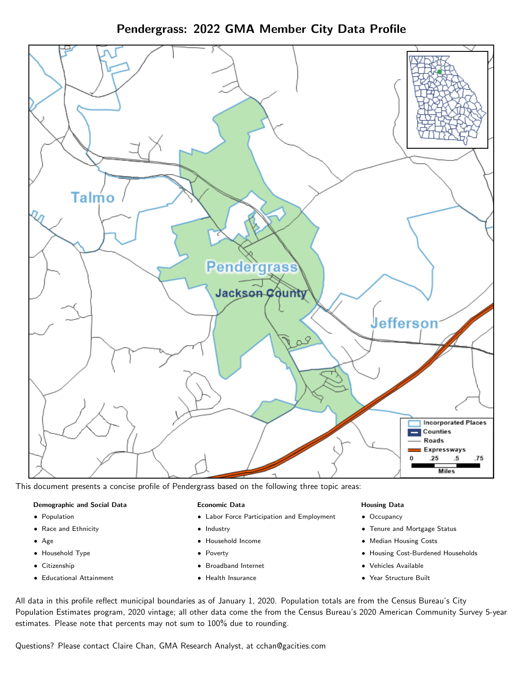Pendergrass: 2022 GMA Member City Data Profile



This document presents a concise profile of Pendergrass based on the following three topic areas:

#### Demographic and Social Data

- **•** Population
- Race and Ethnicity
- Age
- Household Type
- **Citizenship**
- Educational Attainment

## Economic Data

- Labor Force Participation and Employment
- Industry
- Household Income
- Poverty
- Broadband Internet
- Health Insurance

## Housing Data

- Occupancy
- Tenure and Mortgage Status
- Median Housing Costs
- Housing Cost-Burdened Households
- Vehicles Available
- $\bullet$ Year Structure Built

All data in this profile reflect municipal boundaries as of January 1, 2020. Population totals are from the Census Bureau's City Population Estimates program, 2020 vintage; all other data come the from the Census Bureau's 2020 American Community Survey 5-year estimates. Please note that percents may not sum to 100% due to rounding.

Questions? Please contact Claire Chan, GMA Research Analyst, at [cchan@gacities.com.](mailto:cchan@gacities.com)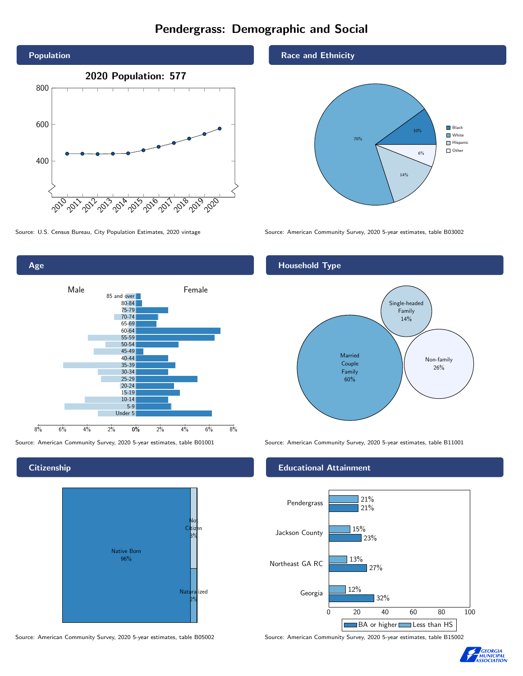# Pendergrass: Demographic and Social





**Citizenship** 



Source: American Community Survey, 2020 5-year estimates, table B05002 Source: American Community Survey, 2020 5-year estimates, table B15002

### Race and Ethnicity



Source: U.S. Census Bureau, City Population Estimates, 2020 vintage Source: American Community Survey, 2020 5-year estimates, table B03002

## Household Type



Source: American Community Survey, 2020 5-year estimates, table B01001 Source: American Community Survey, 2020 5-year estimates, table B11001

### Educational Attainment



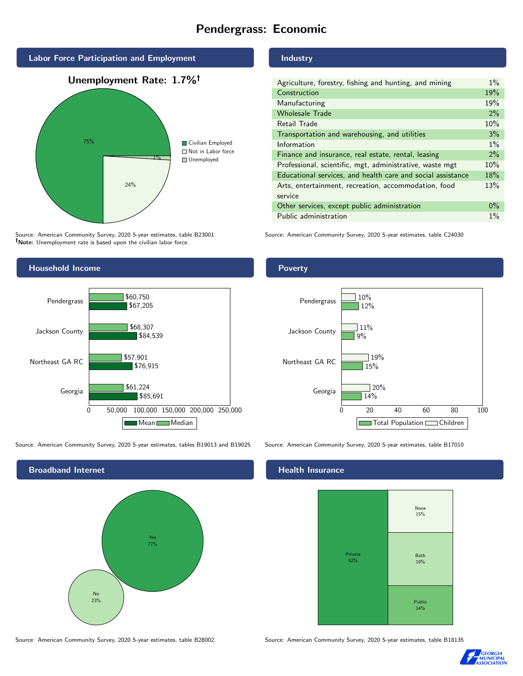# Pendergrass: Economic



Source: American Community Survey, 2020 5-year estimates, table B23001 Note: Unemployment rate is based upon the civilian labor force.

# Household Income 0 50,000 100,000 150,000 200,000 250,000 Georgia Northeast GA RC Jackson County Pendergrass \$85,691 \$76,915 \$84,539 \$67,205 \$61,224 \$57,901 \$68,307 \$60,750 Mean Median

Source: American Community Survey, 2020 5-year estimates, tables B19013 and B19025 Source: American Community Survey, 2020 5-year estimates, table B17010



# Industry

| Agriculture, forestry, fishing and hunting, and mining      | $1\%$ |
|-------------------------------------------------------------|-------|
| Construction                                                | 19%   |
| Manufacturing                                               | 19%   |
| <b>Wholesale Trade</b>                                      | 2%    |
| Retail Trade                                                | 10%   |
| Transportation and warehousing, and utilities               | 3%    |
| Information                                                 | $1\%$ |
| Finance and insurance, real estate, rental, leasing         | 2%    |
| Professional, scientific, mgt, administrative, waste mgt    | 10%   |
| Educational services, and health care and social assistance | 18%   |
| Arts, entertainment, recreation, accommodation, food        | 13%   |
| service                                                     |       |
| Other services, except public administration                | $0\%$ |
| Public administration                                       | $1\%$ |

Source: American Community Survey, 2020 5-year estimates, table C24030

## Poverty



#### Health Insurance



Source: American Community Survey, 2020 5-year estimates, table B28002 Source: American Community Survey, 2020 5-year estimates, table B18135